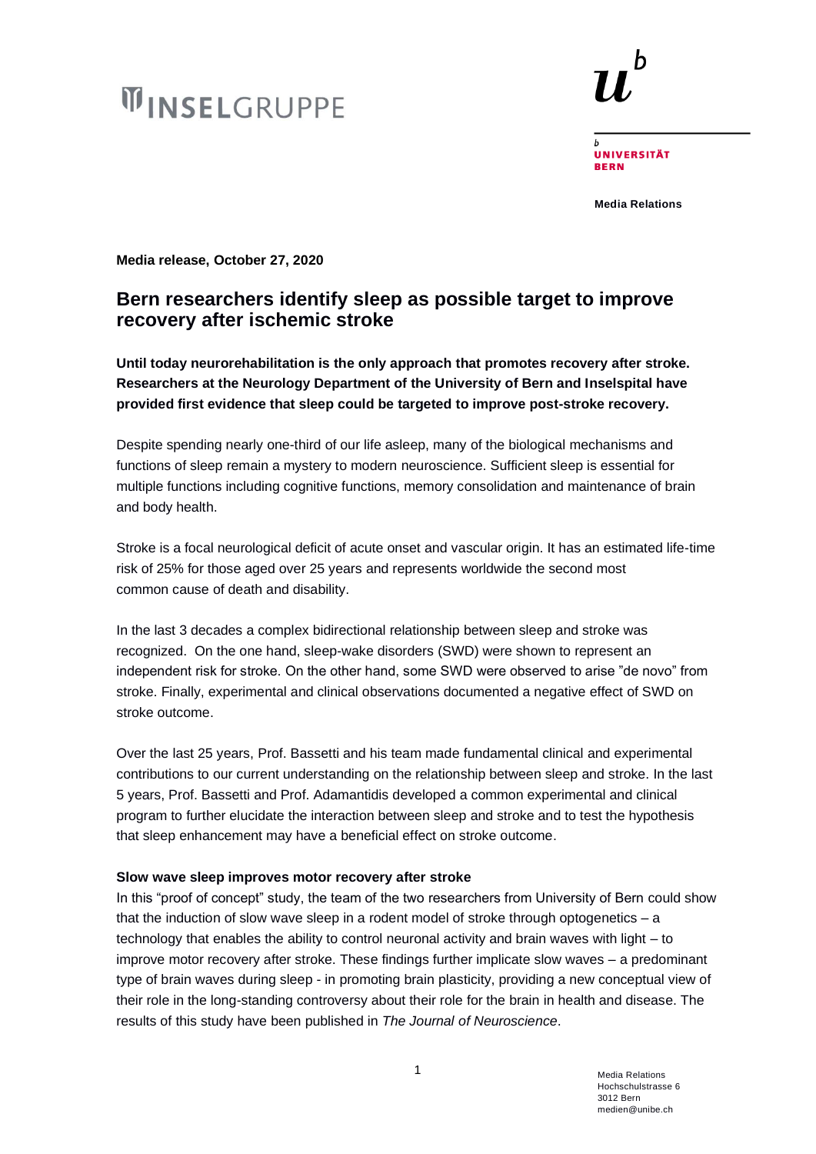# **WINSELGRUPPE**



**UNIVERSITÄT BERN** 

**Media Relations**

**Media release, October 27, 2020**

## **Bern researchers identify sleep as possible target to improve recovery after ischemic stroke**

**Until today neurorehabilitation is the only approach that promotes recovery after stroke. Researchers at the Neurology Department of the University of Bern and Inselspital have provided first evidence that sleep could be targeted to improve post-stroke recovery.**

Despite spending nearly one-third of our life asleep, many of the biological mechanisms and functions of sleep remain a mystery to modern neuroscience. Sufficient sleep is essential for multiple functions including cognitive functions, memory consolidation and maintenance of brain and body health.

Stroke is a focal neurological deficit of acute onset and vascular origin. It has an estimated life-time risk of 25% for those aged over 25 years and represents worldwide the second most common cause of death and disability.

In the last 3 decades a complex bidirectional relationship between sleep and stroke was recognized. On the one hand, sleep-wake disorders (SWD) were shown to represent an independent risk for stroke. On the other hand, some SWD were observed to arise "de novo" from stroke. Finally, experimental and clinical observations documented a negative effect of SWD on stroke outcome.

Over the last 25 years, Prof. Bassetti and his team made fundamental clinical and experimental contributions to our current understanding on the relationship between sleep and stroke. In the last 5 years, Prof. Bassetti and Prof. Adamantidis developed a common experimental and clinical program to further elucidate the interaction between sleep and stroke and to test the hypothesis that sleep enhancement may have a beneficial effect on stroke outcome.

### **Slow wave sleep improves motor recovery after stroke**

In this "proof of concept" study, the team of the two researchers from University of Bern could show that the induction of slow wave sleep in a rodent model of stroke through optogenetics – a technology that enables the ability to control neuronal activity and brain waves with light – to improve motor recovery after stroke. These findings further implicate slow waves – a predominant type of brain waves during sleep - in promoting brain plasticity, providing a new conceptual view of their role in the long-standing controversy about their role for the brain in health and disease. The results of this study have been published in *The Journal of Neuroscience*.